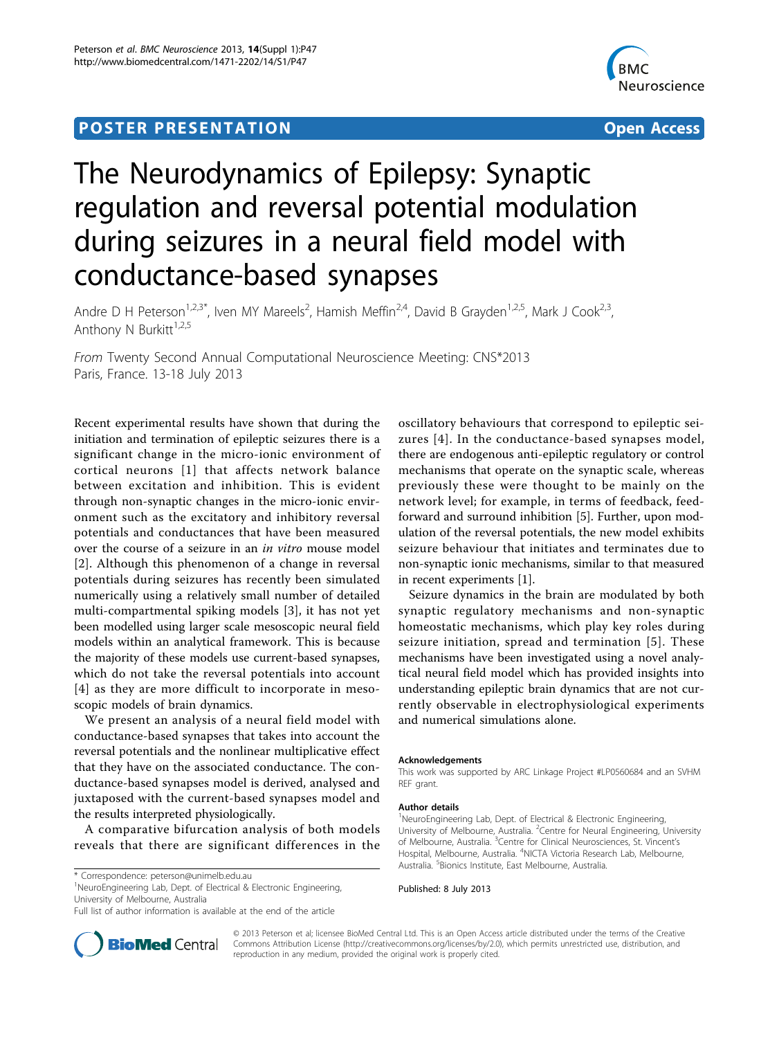## **POSTER PRESENTATION CONSUMING THE SERVICE SERVICE SERVICES**



# The Neurodynamics of Epilepsy: Synaptic regulation and reversal potential modulation during seizures in a neural field model with conductance-based synapses

Andre D H Peterson<sup>1,2,3\*</sup>, Iven MY Mareels<sup>2</sup>, Hamish Meffin<sup>2,4</sup>, David B Grayden<sup>1,2,5</sup>, Mark J Cook<sup>2,3</sup>, Anthony N Burkitt<sup>1,2,5</sup>

From Twenty Second Annual Computational Neuroscience Meeting: CNS\*2013 Paris, France. 13-18 July 2013

Recent experimental results have shown that during the initiation and termination of epileptic seizures there is a significant change in the micro-ionic environment of cortical neurons [[1](#page-1-0)] that affects network balance between excitation and inhibition. This is evident through non-synaptic changes in the micro-ionic environment such as the excitatory and inhibitory reversal potentials and conductances that have been measured over the course of a seizure in an in vitro mouse model [[2](#page-1-0)]. Although this phenomenon of a change in reversal potentials during seizures has recently been simulated numerically using a relatively small number of detailed multi-compartmental spiking models [[3](#page-1-0)], it has not yet been modelled using larger scale mesoscopic neural field models within an analytical framework. This is because the majority of these models use current-based synapses, which do not take the reversal potentials into account [[4](#page-1-0)] as they are more difficult to incorporate in mesoscopic models of brain dynamics.

We present an analysis of a neural field model with conductance-based synapses that takes into account the reversal potentials and the nonlinear multiplicative effect that they have on the associated conductance. The conductance-based synapses model is derived, analysed and juxtaposed with the current-based synapses model and the results interpreted physiologically.

A comparative bifurcation analysis of both models reveals that there are significant differences in the

<sup>1</sup>NeuroEngineering Lab, Dept. of Electrical & Electronic Engineering, University of Melbourne, Australia

oscillatory behaviours that correspond to epileptic seizures [[4](#page-1-0)]. In the conductance-based synapses model, there are endogenous anti-epileptic regulatory or control mechanisms that operate on the synaptic scale, whereas previously these were thought to be mainly on the network level; for example, in terms of feedback, feedforward and surround inhibition [[5\]](#page-1-0). Further, upon modulation of the reversal potentials, the new model exhibits seizure behaviour that initiates and terminates due to non-synaptic ionic mechanisms, similar to that measured in recent experiments [\[1\]](#page-1-0).

Seizure dynamics in the brain are modulated by both synaptic regulatory mechanisms and non-synaptic homeostatic mechanisms, which play key roles during seizure initiation, spread and termination [[5](#page-1-0)]. These mechanisms have been investigated using a novel analytical neural field model which has provided insights into understanding epileptic brain dynamics that are not currently observable in electrophysiological experiments and numerical simulations alone.

#### Acknowledgements

This work was supported by ARC Linkage Project #LP0560684 and an SVHM REF grant.

#### Author details

<sup>1</sup>NeuroEngineering Lab, Dept. of Electrical & Electronic Engineering, University of Melbourne, Australia. <sup>2</sup> Centre for Neural Engineering, University of Melbourne, Australia. <sup>3</sup>Centre for Clinical Neurosciences, St. Vincent's Hospital, Melbourne, Australia. <sup>4</sup>NICTA Victoria Research Lab, Melbourne, Australia. <sup>5</sup> Bionics Institute, East Melbourne, Australia.

Published: 8 July 2013



© 2013 Peterson et al; licensee BioMed Central Ltd. This is an Open Access article distributed under the terms of the Creative Commons Attribution License [\(http://creativecommons.org/licenses/by/2.0](http://creativecommons.org/licenses/by/2.0)), which permits unrestricted use, distribution, and reproduction in any medium, provided the original work is properly cited.

<sup>\*</sup> Correspondence: [peterson@unimelb.edu.au](mailto:peterson@unimelb.edu.au)

Full list of author information is available at the end of the article